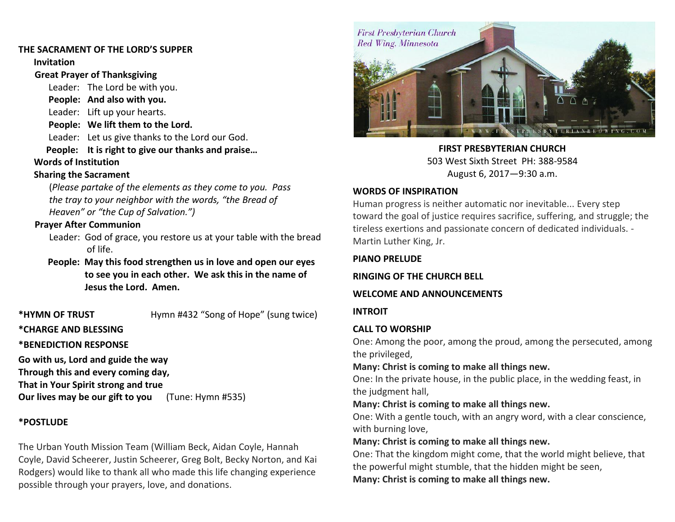#### **THE SACRAMENT OF THE LORD'S SUPPER**

**Invitation**

#### **Great Prayer of Thanksgiving**

Leader: The Lord be with you.

 **People: And also with you.**

Leader: Lift up your hearts.

 **People: We lift them to the Lord.**

Leader: Let us give thanks to the Lord our God.

 **People: It is right to give our thanks and praise…**

#### **Words of Institution**

#### **Sharing the Sacrament**

(*Please partake of the elements as they come to you. Pass the tray to your neighbor with the words, "the Bread of Heaven" or "the Cup of Salvation.")*

#### **Prayer After Communion**

Leader: God of grace, you restore us at your table with the bread of life.

 **People: May this food strengthen us in love and open our eyes to see you in each other. We ask this in the name of Jesus the Lord. Amen.** 

**\*HYMN OF TRUST** Hymn #432 "Song of Hope" (sung twice)

#### **\*CHARGE AND BLESSING**

**\*BENEDICTION RESPONSE** 

**Go with us, Lord and guide the way Through this and every coming day, That in Your Spirit strong and true Our lives may be our gift to you** (Tune: Hymn #535)

### **\*POSTLUDE**

The Urban Youth Mission Team (William Beck, Aidan Coyle, Hannah Coyle, David Scheerer, Justin Scheerer, Greg Bolt, Becky Norton, and Kai Rodgers) would like to thank all who made this life changing experience possible through your prayers, love, and donations.



**FIRST PRESBYTERIAN CHURCH** 503 West Sixth Street PH: 388-9584 August 6, 2017—9:30 a.m.

#### **WORDS OF INSPIRATION**

Human progress is neither automatic nor inevitable... Every step toward the goal of justice requires sacrifice, suffering, and struggle; the tireless exertions and passionate concern of dedicated individuals. - Martin Luther King, Jr.

#### **PIANO PRELUDE**

**RINGING OF THE CHURCH BELL**

#### **WELCOME AND ANNOUNCEMENTS**

#### **INTROIT**

## **CALL TO WORSHIP**

One: Among the poor, among the proud, among the persecuted, among the privileged,

# **Many: Christ is coming to make all things new.**

One: In the private house, in the public place, in the wedding feast, in the judgment hall,

#### **Many: Christ is coming to make all things new.**

One: With a gentle touch, with an angry word, with a clear conscience, with burning love,

## **Many: Christ is coming to make all things new.**

One: That the kingdom might come, that the world might believe, that the powerful might stumble, that the hidden might be seen,

**Many: Christ is coming to make all things new.**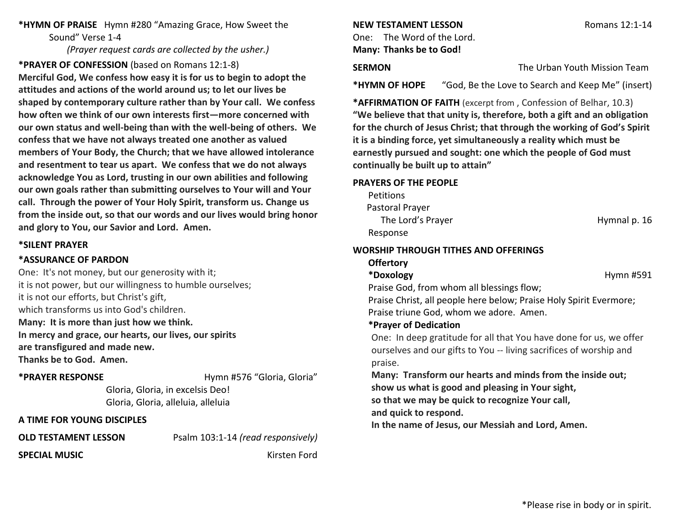**\*HYMN OF PRAISE** Hymn #280 "Amazing Grace, How Sweet the Sound" Verse 1-4

*(Prayer request cards are collected by the usher.)*

**\*PRAYER OF CONFESSION** (based on Romans 12:1-8) **Merciful God, We confess how easy it is for us to begin to adopt the attitudes and actions of the world around us; to let our lives be shaped by contemporary culture rather than by Your call. We confess how often we think of our own interests first—more concerned with our own status and well-being than with the well-being of others. We confess that we have not always treated one another as valued members of Your Body, the Church; that we have allowed intolerance and resentment to tear us apart. We confess that we do not always acknowledge You as Lord, trusting in our own abilities and following our own goals rather than submitting ourselves to Your will and Your call. Through the power of Your Holy Spirit, transform us. Change us from the inside out, so that our words and our lives would bring honor and glory to You, our Savior and Lord. Amen.**

#### **\*SILENT PRAYER**

#### **\*ASSURANCE OF PARDON**

One: It's not money, but our generosity with it; it is not power, but our willingness to humble ourselves; it is not our efforts, but Christ's gift, which transforms us into God's children. **Many: It is more than just how we think. In mercy and grace, our hearts, our lives, our spirits are transfigured and made new. Thanks be to God. Amen.**

#### **\*PRAYER RESPONSE** Hymn #576 "Gloria, Gloria"

Gloria, Gloria, in excelsis Deo! Gloria, Gloria, alleluia, alleluia

#### **A TIME FOR YOUNG DISCIPLES**

**OLD TESTAMENT LESSON** Psalm 103:1-14 *(read responsively)*

**SPECIAL MUSIC Kirsten Ford** 

#### **NEW TESTAMENT LESSON** Romans 12:1-14

One: The Word of the Lord. **Many: Thanks be to God!**

# **SERMON The Urban Youth Mission Team**

**\*HYMN OF HOPE** "God, Be the Love to Search and Keep Me" (insert)

**\*AFFIRMATION OF FAITH** (excerpt from , Confession of Belhar, 10.3) **"We believe that that unity is, therefore, both a gift and an obligation for the church of Jesus Christ; that through the working of God's Spirit it is a binding force, yet simultaneously a reality which must be earnestly pursued and sought: one which the people of God must continually be built up to attain"**

#### **PRAYERS OF THE PEOPLE**

**Petitions**  Pastoral Prayer The Lord's Prayer **Hymnal p. 16** Response

#### **WORSHIP THROUGH TITHES AND OFFERINGS**

#### **Offertory**

\*Doxology **https://www.francheaplanetas.com/models/models/models/models/models/models/models/models/models/models/models/models/models/models/models/models/models/models/models/models/models/models/models/models/models/mod** 

Praise God, from whom all blessings flow;

Praise Christ, all people here below; Praise Holy Spirit Evermore; Praise triune God, whom we adore. Amen.

# **\*Prayer of Dedication**

One: In deep gratitude for all that You have done for us, we offer ourselves and our gifts to You -- living sacrifices of worship and praise.

**Many: Transform our hearts and minds from the inside out; show us what is good and pleasing in Your sight,**

**so that we may be quick to recognize Your call,**

**and quick to respond.**

**In the name of Jesus, our Messiah and Lord, Amen.**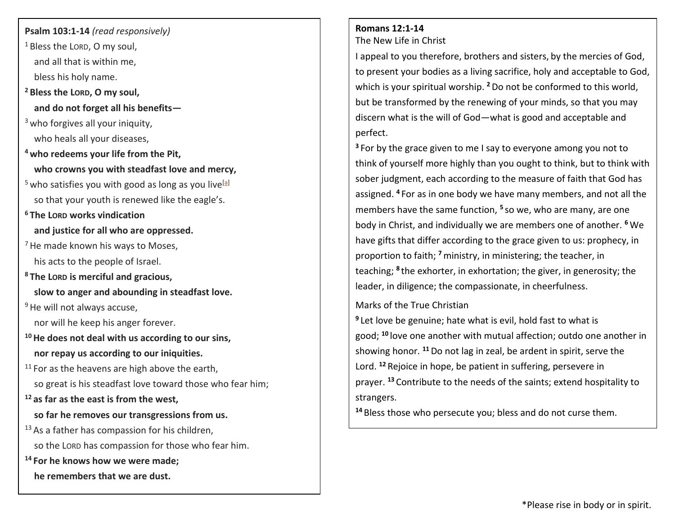## **Psalm 103:1-14** *(read responsively)*

- <sup>1</sup> Bless the LORD, O my soul, and all that is within me, bless his holy name.
- **<sup>2</sup> Bless the LORD, O my soul, and do not forget all his benefits—**
- <sup>3</sup> who forgives all your iniquity, who heals all your diseases,
- **<sup>4</sup> who redeems your life from the Pit, who crowns you with steadfast love and mercy,**
- $5$  who satisfies you with good as long as you live<sup>[\[a\]](https://www.biblegateway.com/passage/?search=psalm+103%3A+1-14&version=NRSV#fen-NRSV-15555a)</sup> so that your youth is renewed like the eagle's.
- **<sup>6</sup> The LORD works vindication and justice for all who are oppressed.**
- $<sup>7</sup>$  He made known his ways to Moses,</sup> his acts to the people of Israel.
- **<sup>8</sup> The LORD is merciful and gracious, slow to anger and abounding in steadfast love.**
- <sup>9</sup> He will not always accuse,
	- nor will he keep his anger forever.
- **<sup>10</sup>He does not deal with us according to our sins, nor repay us according to our iniquities.**
- $11$  For as the heavens are high above the earth, so great is his steadfast love toward those who fear him;
- **<sup>12</sup> as far as the east is from the west,**
	- **so far he removes our transgressions from us.**
- <sup>13</sup> As a father has compassion for his children, so the LORD has compassion for those who fear him.
- **<sup>14</sup> For he knows how we were made;**
	- **he remembers that we are dust.**

# **Romans 12:1-14**

The New Life in Christ

I appeal to you therefore, brothers and sisters, by the mercies of God, to present your bodies as a living sacrifice, holy and acceptable to God, which is your spiritual worship. <sup>2</sup> Do not be conformed to this world, but be transformed by the renewing of your minds, so that you may discern what is the will of God—what is good and acceptable and perfect.

**<sup>3</sup>** For by the grace given to me I say to everyone among you not to think of yourself more highly than you ought to think, but to think with sober judgment, each according to the measure of faith that God has assigned. **<sup>4</sup>** For as in one body we have many members, and not all the members have the same function, **<sup>5</sup>** so we, who are many, are one body in Christ, and individually we are members one of another. **<sup>6</sup>** We have gifts that differ according to the grace given to us: prophecy, in proportion to faith; **<sup>7</sup>**ministry, in ministering; the teacher, in teaching; <sup>8</sup> the exhorter, in exhortation; the giver, in generosity; the leader, in diligence; the compassionate, in cheerfulness.

# Marks of the True Christian

**9** Let love be genuine; hate what is evil, hold fast to what is good; **<sup>10</sup>** love one another with mutual affection; outdo one another in showing honor. **<sup>11</sup>**Do not lag in zeal, be ardent in spirit, serve the Lord. **<sup>12</sup>** Rejoice in hope, be patient in suffering, persevere in prayer. **<sup>13</sup>** Contribute to the needs of the saints; extend hospitality to strangers.

**<sup>14</sup>** Bless those who persecute you; bless and do not curse them.